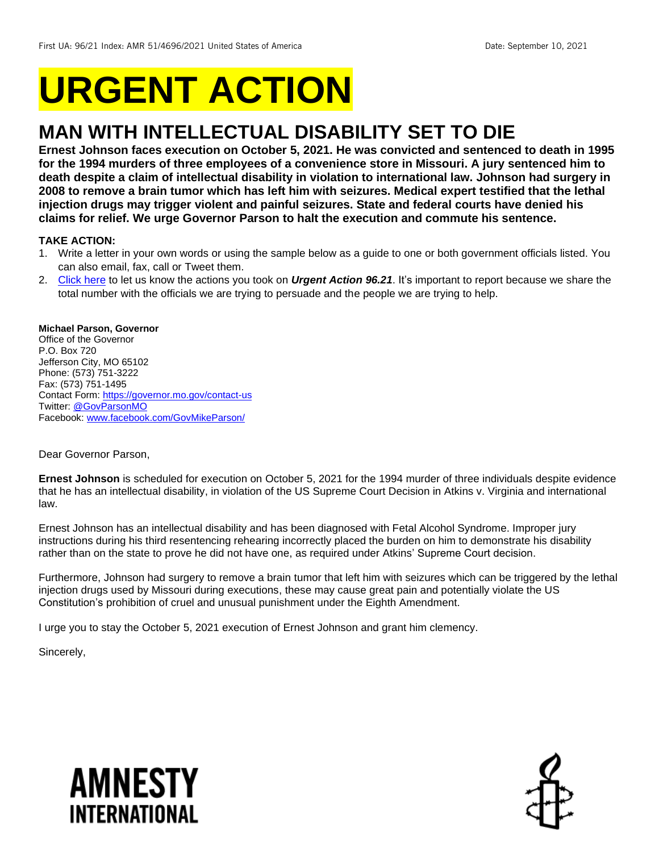# **URGENT ACTION**

## **MAN WITH INTELLECTUAL DISABILITY SET TO DIE**

**Ernest Johnson faces execution on October 5, 2021. He was convicted and sentenced to death in 1995 for the 1994 murders of three employees of a convenience store in Missouri. A jury sentenced him to death despite a claim of intellectual disability in violation to international law. Johnson had surgery in 2008 to remove a brain tumor which has left him with seizures. Medical expert testified that the lethal injection drugs may trigger violent and painful seizures. State and federal courts have denied his claims for relief. We urge Governor Parson to halt the execution and commute his sentence.** 

## **TAKE ACTION:**

- 1. Write a letter in your own words or using the sample below as a guide to one or both government officials listed. You can also email, fax, call or Tweet them.
- 2. [Click here](https://www.amnestyusa.org/report-urgent-actions/) to let us know the actions you took on *Urgent Action 96.21*. It's important to report because we share the total number with the officials we are trying to persuade and the people we are trying to help.

## **Michael Parson, Governor**

Office of the Governor P.O. Box 720 Jefferson City, MO 65102 Phone: (573) 751-3222 Fax: (573) 751-1495 Contact Form: https://governor.mo.gov/contact-us Twitter: [@GovParsonMO](https://twitter.com/GovParsonMO) Facebook[: www.facebook.com/GovMikeParson/](http://www.facebook.com/GovMikeParson/)

Dear Governor Parson,

**Ernest Johnson** is scheduled for execution on October 5, 2021 for the 1994 murder of three individuals despite evidence that he has an intellectual disability, in violation of the US Supreme Court Decision in Atkins v. Virginia and international law.

Ernest Johnson has an intellectual disability and has been diagnosed with Fetal Alcohol Syndrome. Improper jury instructions during his third resentencing rehearing incorrectly placed the burden on him to demonstrate his disability rather than on the state to prove he did not have one, as required under Atkins' Supreme Court decision.

Furthermore, Johnson had surgery to remove a brain tumor that left him with seizures which can be triggered by the lethal injection drugs used by Missouri during executions, these may cause great pain and potentially violate the US Constitution's prohibition of cruel and unusual punishment under the Eighth Amendment.

I urge you to stay the October 5, 2021 execution of Ernest Johnson and grant him clemency.

Sincerely,